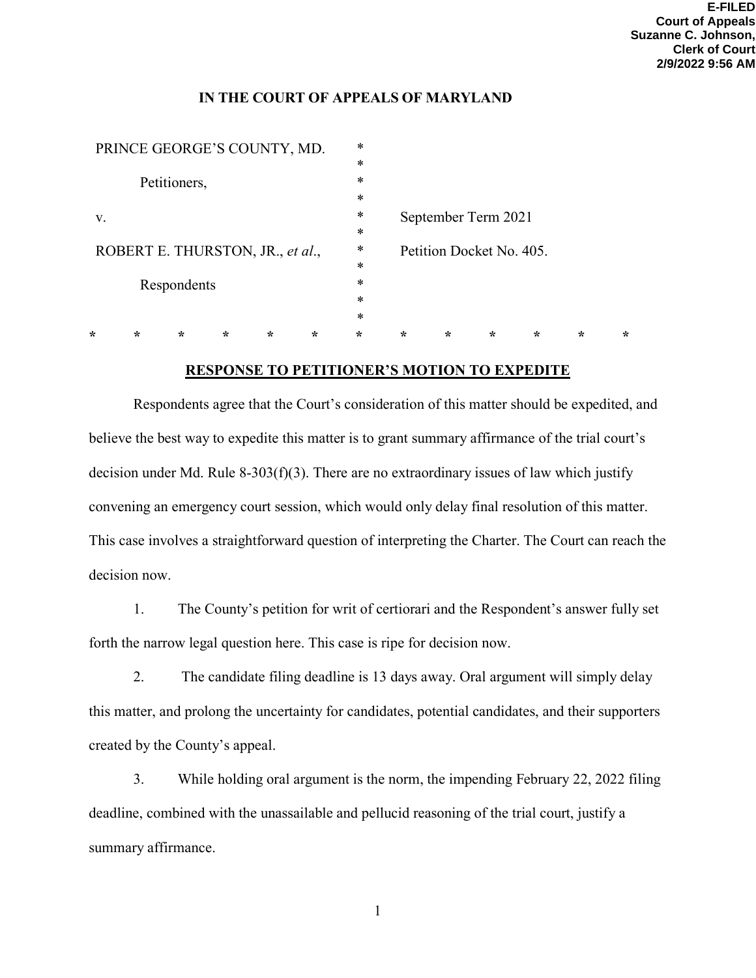## **IN THE COURT OF APPEALS OF MARYLAND**

| PRINCE GEORGE'S COUNTY, MD.            |   |         |         |         |         | *       |                                                 |         |         |         |         |         |
|----------------------------------------|---|---------|---------|---------|---------|---------|-------------------------------------------------|---------|---------|---------|---------|---------|
|                                        |   |         |         |         |         | $\ast$  |                                                 |         |         |         |         |         |
| Petitioners,                           |   |         |         |         |         | $\ast$  |                                                 |         |         |         |         |         |
|                                        |   |         |         |         |         | *       |                                                 |         |         |         |         |         |
| V.<br>ROBERT E. THURSTON, JR., et al., |   |         |         |         |         | $\ast$  | September Term 2021<br>Petition Docket No. 405. |         |         |         |         |         |
|                                        |   |         |         |         |         | $\ast$  |                                                 |         |         |         |         |         |
|                                        |   |         |         |         |         | $\ast$  |                                                 |         |         |         |         |         |
|                                        |   |         |         |         |         | $\ast$  |                                                 |         |         |         |         |         |
| Respondents                            |   |         |         |         |         | *       |                                                 |         |         |         |         |         |
|                                        |   |         |         |         |         | $\ast$  |                                                 |         |         |         |         |         |
|                                        |   |         |         |         |         | *       |                                                 |         |         |         |         |         |
| ÷                                      | ∗ | $\star$ | $\star$ | $\star$ | $\star$ | $\star$ | ÷                                               | $\star$ | $\star$ | $\star$ | $\star$ | $\star$ |
|                                        |   |         |         |         |         |         |                                                 |         |         |         |         |         |

## **RESPONSE TO PETITIONER'S MOTION TO EXPEDITE**

 Respondents agree that the Court's consideration of this matter should be expedited, and believe the best way to expedite this matter is to grant summary affirmance of the trial court's decision under Md. Rule 8-303(f)(3). There are no extraordinary issues of law which justify convening an emergency court session, which would only delay final resolution of this matter. This case involves a straightforward question of interpreting the Charter. The Court can reach the decision now.

1. The County's petition for writ of certiorari and the Respondent's answer fully set forth the narrow legal question here. This case is ripe for decision now.

2. The candidate filing deadline is 13 days away. Oral argument will simply delay this matter, and prolong the uncertainty for candidates, potential candidates, and their supporters created by the County's appeal.

3. While holding oral argument is the norm, the impending February 22, 2022 filing deadline, combined with the unassailable and pellucid reasoning of the trial court, justify a summary affirmance.

1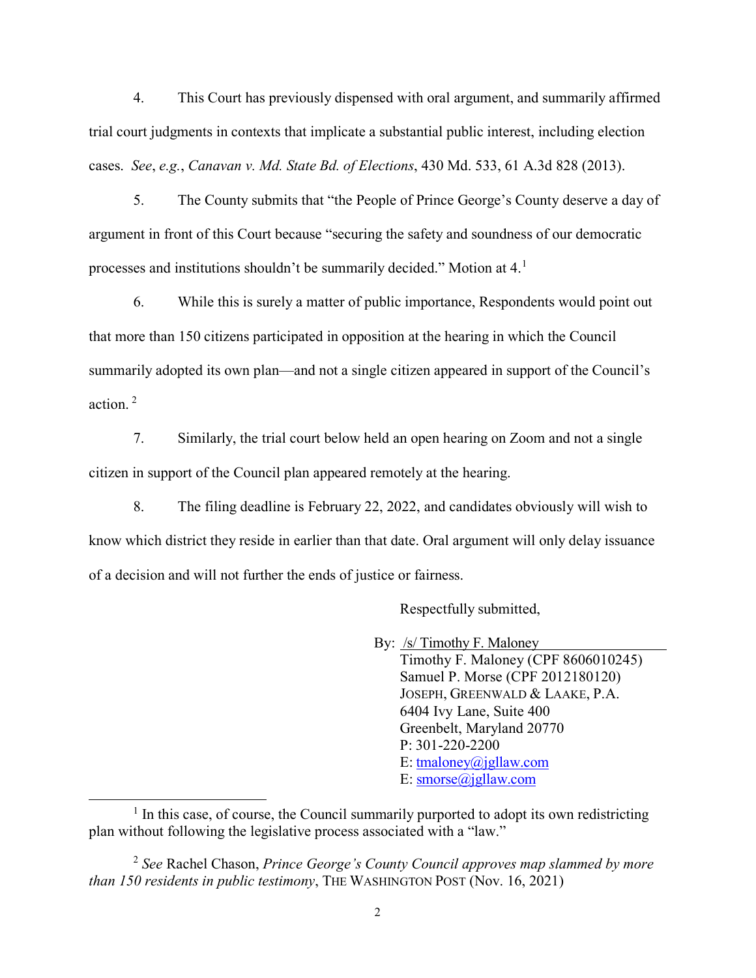4. This Court has previously dispensed with oral argument, and summarily affirmed trial court judgments in contexts that implicate a substantial public interest, including election cases. *See*, *e.g.*, *Canavan v. Md. State Bd. of Elections*, 430 Md. 533, 61 A.3d 828 (2013).

5. The County submits that "the People of Prince George's County deserve a day of argument in front of this Court because "securing the safety and soundness of our democratic processes and institutions shouldn't be summarily decided." Motion at 4.[1](#page-1-0)

6. While this is surely a matter of public importance, Respondents would point out that more than 150 citizens participated in opposition at the hearing in which the Council summarily adopted its own plan—and not a single citizen appeared in support of the Council's action. [2](#page-1-1)

7. Similarly, the trial court below held an open hearing on Zoom and not a single citizen in support of the Council plan appeared remotely at the hearing.

8. The filing deadline is February 22, 2022, and candidates obviously will wish to know which district they reside in earlier than that date. Oral argument will only delay issuance of a decision and will not further the ends of justice or fairness.

Respectfully submitted,

By: /s/ Timothy F. Maloney

Timothy F. Maloney (CPF 8606010245) Samuel P. Morse (CPF 2012180120) JOSEPH, GREENWALD & LAAKE, P.A. 6404 Ivy Lane, Suite 400 Greenbelt, Maryland 20770 P: 301-220-2200 E: [tmaloney@jgllaw.com](mailto:tmaloney@jgllaw.com) E: [smorse@jgllaw.com](mailto:smorse@jgllaw.com)

<span id="page-1-0"></span> $1$  In this case, of course, the Council summarily purported to adopt its own redistricting plan without following the legislative process associated with a "law."

<span id="page-1-1"></span><sup>2</sup> *See* Rachel Chason, *Prince George's County Council approves map slammed by more than 150 residents in public testimony*, THE WASHINGTON POST (Nov. 16, 2021)